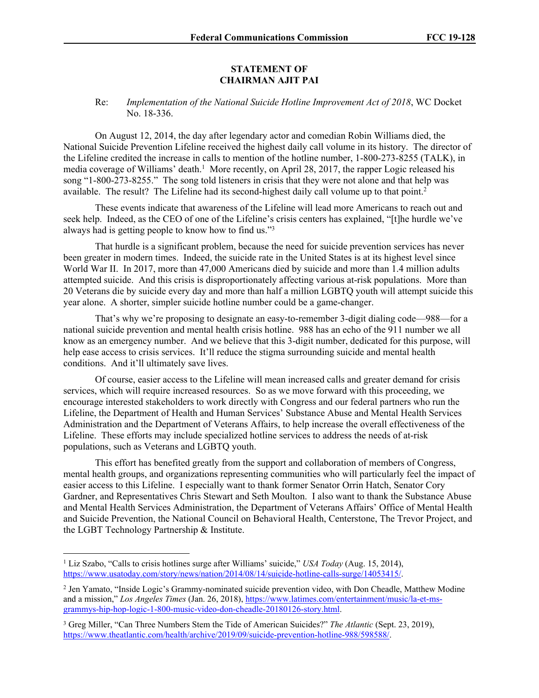## **STATEMENT OF CHAIRMAN AJIT PAI**

## Re: *Implementation of the National Suicide Hotline Improvement Act of 2018*, WC Docket No. 18-336.

On August 12, 2014, the day after legendary actor and comedian Robin Williams died, the National Suicide Prevention Lifeline received the highest daily call volume in its history. The director of the Lifeline credited the increase in calls to mention of the hotline number, 1-800-273-8255 (TALK), in media coverage of Williams' death.<sup>1</sup> More recently, on April 28, 2017, the rapper Logic released his song "1-800-273-8255." The song told listeners in crisis that they were not alone and that help was available. The result? The Lifeline had its second-highest daily call volume up to that point.<sup>2</sup>

These events indicate that awareness of the Lifeline will lead more Americans to reach out and seek help. Indeed, as the CEO of one of the Lifeline's crisis centers has explained, "[t]he hurdle we've always had is getting people to know how to find us."<sup>3</sup>

That hurdle is a significant problem, because the need for suicide prevention services has never been greater in modern times. Indeed, the suicide rate in the United States is at its highest level since World War II. In 2017, more than 47,000 Americans died by suicide and more than 1.4 million adults attempted suicide. And this crisis is disproportionately affecting various at-risk populations. More than 20 Veterans die by suicide every day and more than half a million LGBTQ youth will attempt suicide this year alone. A shorter, simpler suicide hotline number could be a game-changer.

That's why we're proposing to designate an easy-to-remember 3-digit dialing code—988—for a national suicide prevention and mental health crisis hotline. 988 has an echo of the 911 number we all know as an emergency number. And we believe that this 3-digit number, dedicated for this purpose, will help ease access to crisis services. It'll reduce the stigma surrounding suicide and mental health conditions. And it'll ultimately save lives.

Of course, easier access to the Lifeline will mean increased calls and greater demand for crisis services, which will require increased resources. So as we move forward with this proceeding, we encourage interested stakeholders to work directly with Congress and our federal partners who run the Lifeline, the Department of Health and Human Services' Substance Abuse and Mental Health Services Administration and the Department of Veterans Affairs, to help increase the overall effectiveness of the Lifeline. These efforts may include specialized hotline services to address the needs of at-risk populations, such as Veterans and LGBTQ youth.

This effort has benefited greatly from the support and collaboration of members of Congress, mental health groups, and organizations representing communities who will particularly feel the impact of easier access to this Lifeline. I especially want to thank former Senator Orrin Hatch, Senator Cory Gardner, and Representatives Chris Stewart and Seth Moulton. I also want to thank the Substance Abuse and Mental Health Services Administration, the Department of Veterans Affairs' Office of Mental Health and Suicide Prevention, the National Council on Behavioral Health, Centerstone, The Trevor Project, and the LGBT Technology Partnership & Institute.

<sup>1</sup> Liz Szabo, "Calls to crisis hotlines surge after Williams' suicide," *USA Today* (Aug. 15, 2014), [https://www.usatoday.com/story/news/nation/2014/08/14/suicide-hotline-calls-surge/14053415/.](https://www.usatoday.com/story/news/nation/2014/08/14/suicide-hotline-calls-surge/14053415/)

<sup>2</sup> Jen Yamato, "Inside Logic's Grammy-nominated suicide prevention video, with Don Cheadle, Matthew Modine and a mission," *Los Angeles Times* (Jan. 26, 2018), [https://www.latimes.com/entertainment/music/la-et-ms](https://www.latimes.com/entertainment/music/la-et-ms-grammys-hip-hop-logic-1-800-music-video-don-cheadle-20180126-story.html)[grammys-hip-hop-logic-1-800-music-video-don-cheadle-20180126-story.html](https://www.latimes.com/entertainment/music/la-et-ms-grammys-hip-hop-logic-1-800-music-video-don-cheadle-20180126-story.html).

<sup>3</sup> Greg Miller, "Can Three Numbers Stem the Tide of American Suicides?" *The Atlantic* (Sept. 23, 2019), <https://www.theatlantic.com/health/archive/2019/09/suicide-prevention-hotline-988/598588/>.